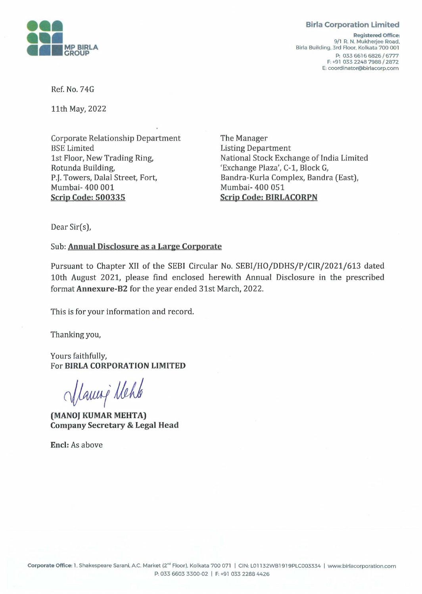## **Birla Corporation Limited**



**Registered Office:**  9/1 R. N. Mukherjee Road. Birla Building. 3rd Floor. Kolkata 700 001 P: 033 6616 6826 / 6777 F: +91 033 2248 7988 / 2872 E: coordinator@birlacorp.com

Ref. No. 74G

11th May, 2022

Corporate Relationship Department BSE Limited 1st Floor, New Trading Ring, Rotunda Building, P.J. Towers, Dalal Street, Fort, Mumbai- 400 001 **Scrip Code: 500335** 

The Manager Listing Department National Stock Exchange of India Limited 'Exchange Plaza', C-1, Block G, Bandra-Kurla Complex, Bandra (East), Mumbai- 400 051 **Scrip Code: BIRLACORPN** 

Dear Sir(s),

Sub: **Annual Disclosure as a Large Corporate** 

Pursuant to Chapter XII of the SEBI Circular No. SEBI/HO/DDHS/P /CIR/2021/613 dated 10th August 2021, please find enclosed herewith Annual Disclosure in the prescribed format **Annexure-B2** for the year ended 31st March, 2022.

This is for your information and record.

Thanking you,

Yours faithfully, For **BIRLA CORPORATION LIMITED** 

Manný Nehle

**(MANOJ KUMAR MEHTA) Company Secretary** & **Legal Head** 

**Encl:** As above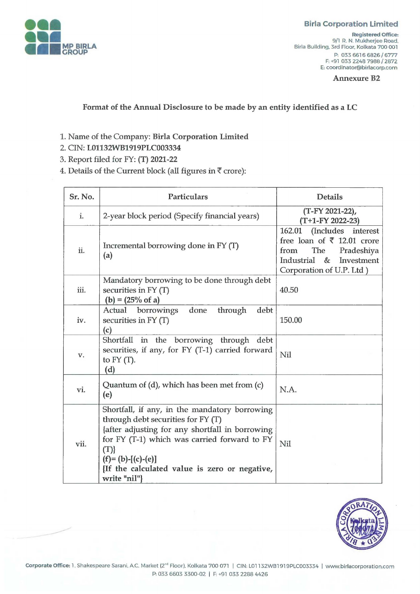

## **Birla Corporation Limited**

**Registered Office:**  9/1 R. N. Mukherjee Road, Birla Building, 3rd Floor, Kolkata 700 001 P: 033 6616 6826 / 6777 F: +91 033 2248 7988 / 2872 E: coordinator@birlacorp.com

**Annexure B2** 

**Format of the Annual Disclosure to be made by an entity identified as a LC** 

- 1. Name of the Company: **Birla Corporation Limited**
- 2. CIN: **L01132WB1919PLC003334**
- 3. Report filed for FY: **(T) 2021-22**

4. Details of the Current block (all figures in  $\bar{\tau}$  crore):

| Sr. No. | <b>Particulars</b>                                                                                                                                                                                                                                                                   | <b>Details</b>                                                                                                                                                      |
|---------|--------------------------------------------------------------------------------------------------------------------------------------------------------------------------------------------------------------------------------------------------------------------------------------|---------------------------------------------------------------------------------------------------------------------------------------------------------------------|
| i.      | 2-year block period (Specify financial years)                                                                                                                                                                                                                                        | (T-FY 2021-22),<br>(T+1-FY 2022-23)                                                                                                                                 |
| ii.     | Incremental borrowing done in FY (T)<br>(a)                                                                                                                                                                                                                                          | 162.01<br>(Includes interest<br>free loan of $\bar{\tau}$ 12.01 crore<br>The<br>Pradeshiya<br>from<br>Industrial<br>$\&$<br>Investment<br>Corporation of U.P. Ltd ) |
| iii.    | Mandatory borrowing to be done through debt<br>securities in FY (T)<br>$(b) = (25% \text{ of } a)$                                                                                                                                                                                   | 40.50                                                                                                                                                               |
| iv.     | done<br>through<br>debt<br>Actual borrowings<br>securities in $FY(T)$<br>(c)                                                                                                                                                                                                         | 150.00                                                                                                                                                              |
| V.      | Shortfall in the borrowing through debt<br>securities, if any, for FY (T-1) carried forward<br>to $FY(T)$ .<br>(d)                                                                                                                                                                   | Nil                                                                                                                                                                 |
| vi.     | Quantum of (d), which has been met from (c)<br>(e)                                                                                                                                                                                                                                   | N.A.                                                                                                                                                                |
| vii.    | Shortfall, if any, in the mandatory borrowing<br>through debt securities for FY (T)<br>{after adjusting for any shortfall in borrowing<br>for FY (T-1) which was carried forward to FY<br>(T)<br>$(f)=(b)-[(c)-(e)]$<br>If the calculated value is zero or negative,<br>write "nil"} | Nil                                                                                                                                                                 |